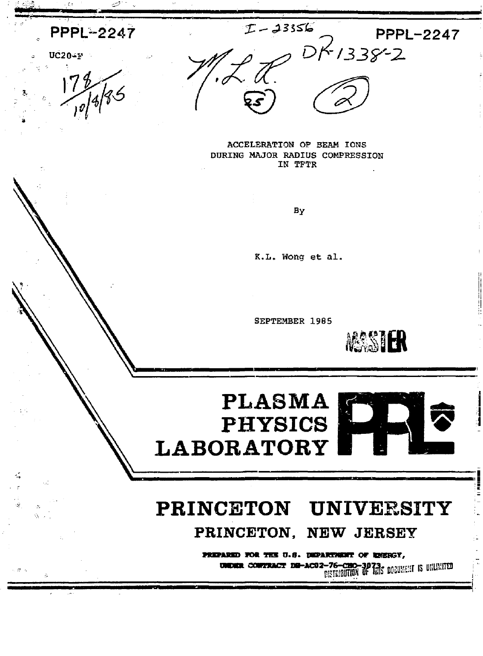$I - 23356$ **PPPL-2247 PPPL-2247**  $DK133822$  $UC20 - F$ ACCELERATION OF BEAM IONS DURING MAJOR RADIUS COMPRESSION IN TFTR By K.L. Wong et al. SEPTEMBER 1985 MASSIER **PLASMA PHYSICS LABORATORY** PRINCETON UNIVERSITY PRINCETON, NEW JERSEY PREPARED FOR THE U.S. DEPARTMENT OF REERSY, UNDER CONTRACT DE-AC02-76-CHO-3073; DEBISHT IS BRIEFIED

ò,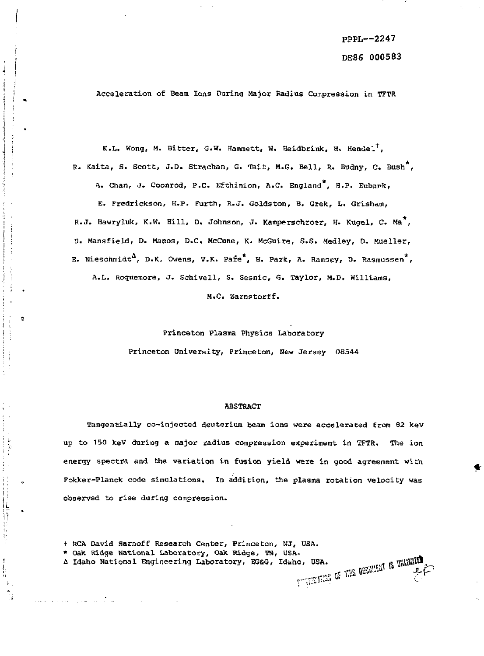Acceleration of Beam Ions During Major Radius Compression in TFTR

K.L. Wong, M. Bitter, G.W. Hammett, W. Heidbrink, H. Hendel<sup>t</sup>, R. Kaita, S. Scott, J.D. Strachan, G. Tait, M.G. Bell, R. Budny, C. Bush<sup>\*</sup>, A. Chan, J. Coonrod, P.C. Efthimion, A.C. England<sup>\*</sup>, H.P. Eubark, E. Fredrickson, H.P. Furth, R.J. Goldston, B. Grek, L. Grisham, R.J. Hawryluk, K.W. Hill, D. Johnson, J. Kamperschroer, H. Kugel, C. Ma<sup>\*</sup>, D. Mansfield, D. Manos, D.C. McCune, K. McGuire, S.S. Medley, D. Mueller, E. Nieschmidt<sup> $\Delta$ </sup>, D.K. Owens, V.K. Pafe<sup>\*</sup>, H. Park, A. Ramsey, D. Rasmussen<sup>\*</sup>, A.L. Roquemore, J. Schivell, S. Sesnic, G. Taylor, M.D. Williams,

M.C. Zarnstorff.

Princeton Plasma Physics Laboratory Princeton University, Princeton, New Jersey 08544

### ABSTRACT

Tangentially co-injected deuterium beam ions were accelerated from 82 keV up to 150 keV during a major radius compression experiment in TFTR. The ion energy spectra and the variation in fusion yield were in good agreement with Fokker-Planck code simulations. In addition, the plasma rotation velocity was observed to rise during compression.

t RCA David Sarnoff Research Center, Princeton, NJ, USA.

ø

计时序

ý l.<br>Ii \* Oak Ridge National Laboratory, Oak Ridge, TN, USA.<br>A Idaho National Engineering Laboratory, EGG, Idaho, USA.<br>A sene hardwide is the hardwide of the Milliam Section 2014. A Idaho National Engineering Laboratory, EG&G, Idaho, USA.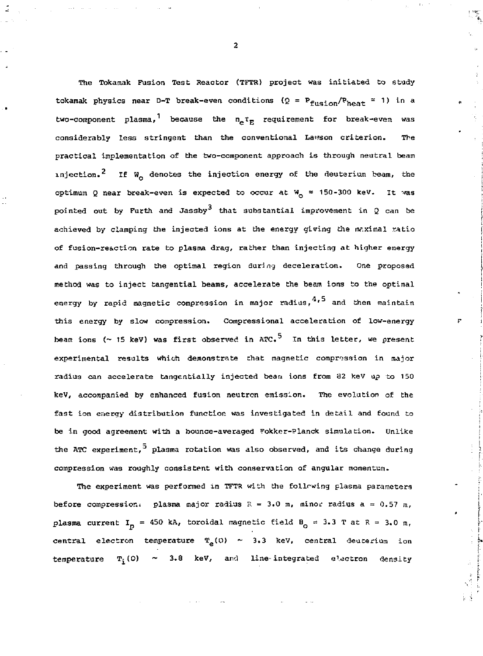The Tokamak Fusion Test Reactor (TFTR) project was initiated to study tokamak physics near D-T break-even conditions ( $Q = P_{fusion}/P_{heat} = 1$ ) in a  $\tau$  requirement for break-even was the net the net term  $\epsilon$ considerably less stringent than the conventional Lawson criterion. The considerably less stringent than the conventional Lawson criterion . The practica l implementation of the two-component approach is through neutral beam injection.<sup>2</sup> If W<sub>2</sub> denotes the injection energy of the deuterium beam, the  $\mathbf{r}$  because the second to occur a t  $\mathbf{r}$ pointed out by Furth and Jassby that substantial improvement in 2 can be achieved by clamping the injected ions at the energy giving the maximal ratio of fusion-reaction rate to plasma drag, rather than injecting at higher energy and passing through the optimal region during deceleration. One proposed method was to inject tangential beams, accelerate the beam ions to the optimal energy by rapid magnetic compression in major radius, $^{4,5}$  and then maintain this energy by slow compression. Congressional acceleration of low-energy beam ions (~ 15 keV) was first observed in ATC.<sup>5</sup> In this letter, we present experimental results which demonstrate that magnetic compression in major radius can accelerate tangentially injected beam ions from B2 keV up to 150 keV, accompanied by enhanced fusion neutron emission. The evolution of the fast ion energy distribution function was investigated in detail and found to be in good agreement with a bounce-averaged Fokker-Planck simulation. Unlike the ATC experiment, plasma rotation was also observed, and its change during compression was roughly consistent with conservation of angular momentum.

The experiment was performed in TFTR with the follrwing plasma parameters before compression: plasma major radius  $R = 3.0$  m, minor radius  $a = 0.57$  m, plasma current  $I_p = 450$  kA, toroidal magnetic field  $B_0 = 3.3$  T at  $R = 3.0$  m, central electron temperature  $T_a(0)$  ~ 3.3 keV, central deucerium ion temperature  $T_i(0) \sim 3.8$  keV, and line-integrated electron density

**2**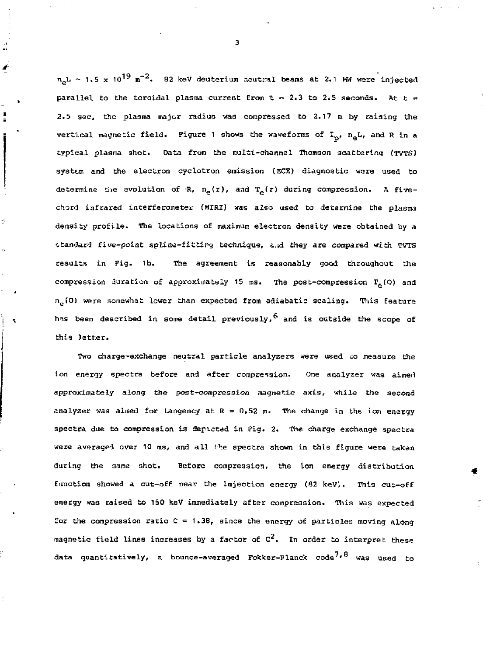$n_{\rm sh}$  ~ 1.5 x 10<sup>19</sup> m<sup>-2</sup>. 82 keV deuterium neutral beams at 2.1 MW were injected parallel to the toroidal plasma current from t = 2.3 to 2.5 seconds. At t = 2.5 sec, the plasma major radius was compressed to 2.17 m by raising the vertical magnetic field. Figure 1 shows the waveforms of  $I_{n}$ ,  $n_{\alpha}L$ , and R in a typical plasma shot. Data from the multi-channel Thomson scattering (TVTS) system and the electron cyclotron emission (ECE) diagnostic ware used to determine the evolution of R,  $n_e(z)$ , and  $T_e(z)$  during compression. A fivechord infrared interferometer (MIRI) was also used to determine the plasma density profile. The locations of maximum electron density were obtained by a standard five-point spline-fitting technique, and they are compared with TVTS results in Fig. lb. The agreement is reasonably good throughout the compression duration of approximately 15 ms. The post-compression  $T_e(0)$  and  $n_e(0)$  were somewhat lower than expected from adiabatic scaling. This feature has been described in some detail previously,  $^6$  and is outside the scope of this Jetter.

Two charge-exchange neutral particle analyzers were used to measure the ion energy spectra before and after compression. One analyzer was aimed approximately along the post-compression magnetic axis, while the second analyzer was aimed for tangency at  $R = 0.52$  m. The change in the ion energy spectra due to compression is depicted in Fig. 2. The charge exchange spectra were averaged over 10 ms, and all the spectra shown in this figure were taken during the same shot. Before compression, the ion energy distribution function showed a cut-off near the injection energy (82 kev;. This cut-off energy was raised to 150 keV immediately after compression. This was expected for the compression ratio  $C = 1.38$ , since the energy of particles moving along magnetic field lines increases by a factor of  $C^2$ . In order to interpret these data quantitatively, a bounce-averaged Fokker-Planck code<sup>7,8</sup> was used to

**3**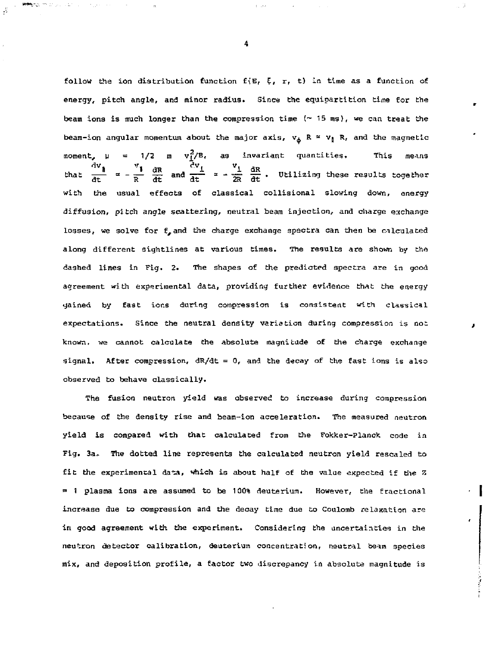follow the ion distribution function f(E,  $\xi$ ,  $r$ , t) in time as a function of energy, pitch angle, and minor radius. Since the equipartition time for the beam ions is much longer than the compression time  $( \sim 15 \text{ ms}),$  we can treat the beam-ion angular momentum about the major axis,  $v_{\phi}$  R =  $v_{\phi}$  R, and the magnetic moment,  $\mu$  = 1/2 m  $v_1^2/B$ , as invariant quantities. This means that  $\frac{dV_{\parallel}}{dt}$  =  $\frac{V_{\perp}}{R}$   $\frac{dR}{dt}$  and  $\frac{dV_{\perp}}{dt}$  =  $\frac{V_{\perp}}{2R}$   $\frac{dR}{dt}$ . Utilizing these results together with the usual effects of classical collisional slowing down, energy diffusion, pitch angle scattering, neutral beam injection, and charge exchange losses, we solve for  $f^{}_{\bullet}$  and the charge exchange spectra can then be calculated along different sightlines at various times. The results are shown by the dashed lines in Fig. 2. The shapes of the predicted spectra are in good agreement with experimental data, providing further evidence that the energy yained by fast ions during compression is consistent with classical expectations. Since the neutral density variation during compression is not known, we cannot calculate the absolute magnitude of the charge exchange signal. After compression,  $dR/dt = 0$ , and the decay of the fast ions is also observed to behave classically.

The fusion neutron yield was observed to increase during compression because of the density rise and beam-ion acceleration. The measured neutron yield is compared with that calculated from the Fokker-Planck code in Fig. 3a. The dotted line represents the calculated neutron yield rescaled to fit the experimental data, which is about half of the value expected if the Z = 1 plasma ions are assumed to be 100% deuterium. However, the fractional increase due to compression and the decay time due to Coulomb relaxation are in good agreement with the experiment. Considering the uncertainties in the neutron detector calibration, deuterium concentration, neutral beam species mix, and deposition profile, a factor two discrepancy in absolute magnitude is

**4** 

**Reference in the control**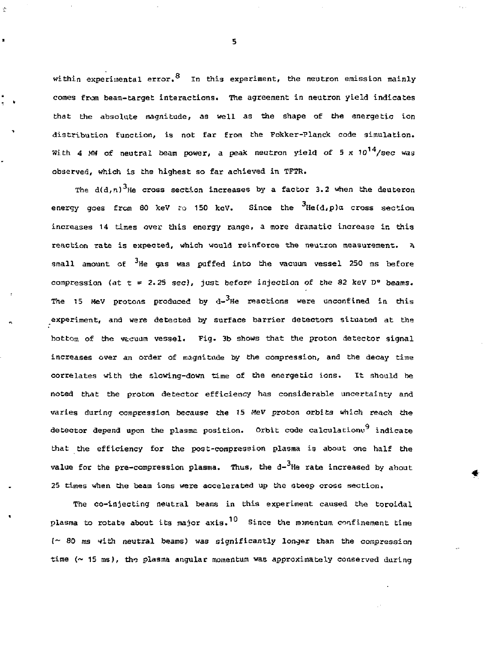within experimental error.  $^8$  In this experiment, the neutron emission mainly comes from beam-target interactions. The agreement in neutron yield indicates that the absolute magnitude, as well as the shape of the energetic ion distribution function, is not far from the Fokker-Planck code simulation, With 4 MW of neutral beam power, a peak neutron yield of 5 x  $10^{14}/\text{sec}$  was observed, which is the highest so far achieved in TFTR.

The  $d(d,n)$ <sup>3</sup>He cross section increases by a factor 3.2 when the deuteron energy goes from 80 keV to 150 keV. Since the  $3H$ e(d,p)a cross section increases 14 times over this energy range, a more dramatic increase in this reaction rate is expected, which would reinforce the neutron measurement. *A*  small amount of <sup>3</sup>He gas was puffed into the vacuum vessel 250 ms before compression (at  $t = 2.25$  sec), just before injection of the 82 keV D° beams. The 15 MeV protons produced by  $d-3H$ e reactions were unconfined in this experiment, and were detected by surface barrier detectors situated at the bottom of the vacuum vessel. Fig. 3b shows that the proton detector signal increases over an order of magnitude by the compression, and the decay time correlates with the slowing-down time of Che energetic ions. It should be noted that the proton detector efficiency has considerable uncertainty and varies during compression because the 15 *fieV* proton orbits which reach the detector depend upon the plasme position. Orbit code calculations<sup>9</sup> indicate that the efficiency for the post-compression plasma is about one half the value for the pre-compression plasma. Thus, the  $d-3$ He rate increased by about 25 times when the beam ions were accelerated up the steep cross section.

The co-injecting neutral beams in this experiment caused the toroidal plasma to rotate about its major axis.<sup>10</sup> Since the momentum confinement time (~ 80 ms with neutral beams) was significantly longer than the compression time  $($   $\sim$  15 ms), the plasma angular momentum was approximately conserved during

**5** 

÷

×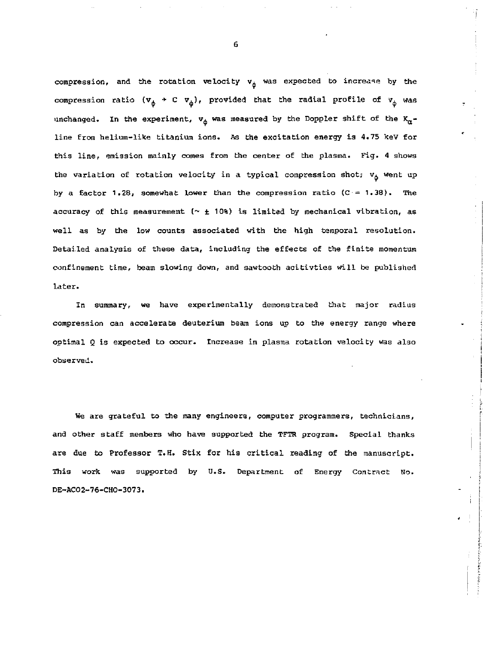compression, and the rotation velocity  $v_{\phi}$  was expected to increase by the compression ratio  $(v_{\phi} + C v_{\dot{\phi}})$ , provided that the radial profile of  $v_{\dot{\phi}}$  was unchanged. In the experiment,  $v_{\phi}$  was measured by the Doppler shift of the  $K_{\alpha}$ line from helium-like titanium ions. As the excitation energy is 4.75 keV for this line, emission mainly comes from the center of the plasma. Fig. 4 shows the variation of rotation velocity in a typical compression shot;  $v_{\phi}$  went up by a factor 1.28, somewhat lower than the compression ratio  $(C = 1.38)$ . The accuracy of this measurement *l~ ±* 10%) is limited by mechanical vibration, as well as by the low counts associated with the high temporal resolution. Detailed analysis of these data, including the effects of the finite momentum confinement time, beam slowing down, and sawtooth acitivties will be published later.

In summary, we have experimentally demonstrated that major radius compression can accelerate deuterium beam ions up to the energy range where optimal *Q* is expected to occur. Increase in plasma rotation velocity was also observed.

He are grateful to the many engineers, computer programmers, technicians, and other staff members who have supported the TFTR program. Special thanks are due to Professor T.H. Stix for his critical reading of the manuscript. This work was supported by U.S. Department of Energy Contract No. DE-ACO2-76-CHO-3073.

6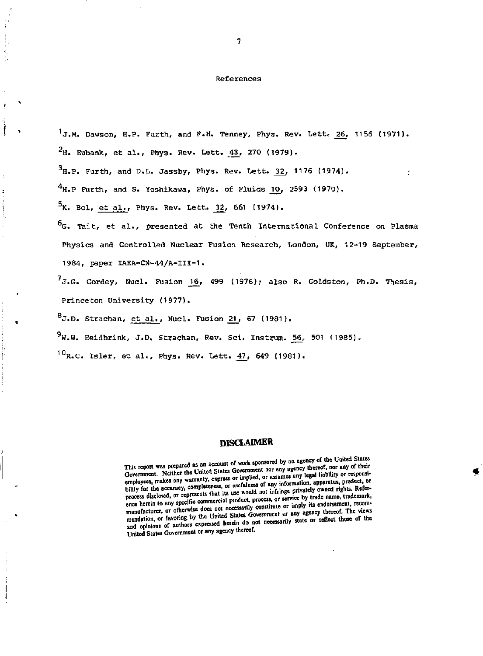## References

 $1_{\text{J,M}}$ , Dawson, H.P. Furth, and F.H. Tenney, Phys. Rev. Lett. 26, 1156 (1971).

 $2_{\text{H}}$ . Eubank, et al., Phys. Rev. Lett.  $43$ , 270 (1979).  $3_{\text{H.P.}}$  Furth, and D.L. Jassby, Phys. Rev. Lett. 32, 1176 (1974).  $4_{\text{H.P}}$  Furth, and S. Yoshikawa, Phys. of Fluids 10, 2593 (1970).  $5$ K. Bol, et al., Phys. Rev. Lett. 32, 661 (1974).  $^{6}$ G. Tait, et al., presented at the Tenth International Conference on Plasma Physics and Controlled Nuclear Fugior. Research, London, UK, 12-19 September, 1984, paper IAEA-CN-44/A-III-1.

 $7<sub>J.G.</sub>$  Cordey, Nucl. Fusion 16, 499 (1976); also R. Goldston, Ph.D. Thesis, Princeton University (1977).

 $B_{J.D.}$  Strachan, et al., Nucl. Fusion 21, 67 (1981).

 $9$ W.W. Heidbrink, J.D. Strachan, Rev. Sci. Instrum. 56, 501 (1985).

 $10<sub>R</sub>$ .C. Isler, et al., Phys. Rev. Lett.  $47$ , 649 (1981).

# **DISCLAIMER**

This report was prepared as an account of work sponsored by an agency of the United States Government. Neither the United States Government nor any of their Government. Nextern the United States Summer the United Summer any legal liability or responsiemployees, makes any warranty, express or usefulness of any information, apparatus, product, or **individual in a set of a rights.** Refer-<br>bility for the accuracy, completeness, or usefulness of any informe privately owned process disclosed, or represents that its use women not untilingly convert to trade name, trademark, ence herein to any specific commercial product, process, or service by trade name, trademark, ence herein to any specific commercial product, process, or service by trade name, trademark, meanufacturer, or otherwise does n manufacturer, or otherwise does not necessarily constitute of imply its enconsensure, recently *mendation, or favoring by the United States Coverantent of any egency calculations of authors capterssed herein do not necessarily state or reflect those of the and opinions of authors capterssed herein* **those** United States Government or any agency thereof.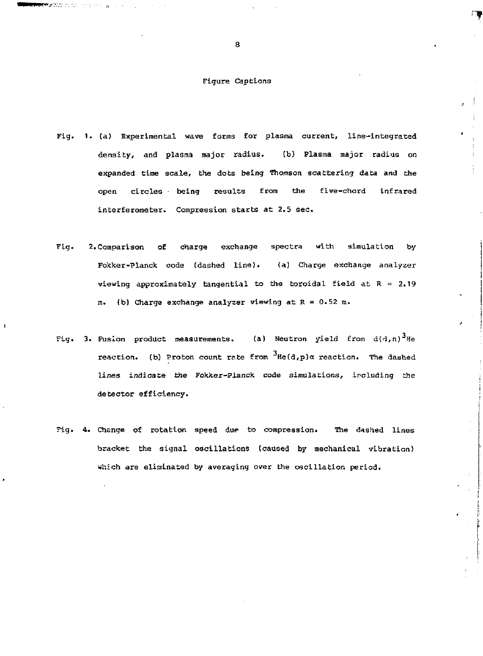# Figure Captions

- 1. (a) Experimental wave forms for plasma current, line-integrated density, and plasma major radius. (b) Plasma major radius on expanded time scale, the dots being Thomson scattering data and the open circles being results from the five-chord infrared interferometer. Compression starts at 2.5 sec.
- 2. Comparison of charge exchange spectra with simulation by Fig. Fokker-Planck code (dashed line). (a) Charge exchange analyzer viewing approximately tangential to the toroidal field at  $R = 2.19$ m. (b) Charge exchange analyzer viewing at R = 0.52 m.
- Fig. 3. Fusion product measurements. (a) Neutron yield from  $d(d,n)^3$ He reaction. (b) Proton count rate from  $3\text{He}(d,p)$  a reaction. The dashed lines indicate the Fokker-Planck code simulations, including the detector efficiency.
- 4. Change of rotation speed due to compression. The dashed lines bracket the signal oscillations (caused by mechanical vibration) which are eliminated by averaging over the oscillation period.

**8** 

**TANAPACIO** COO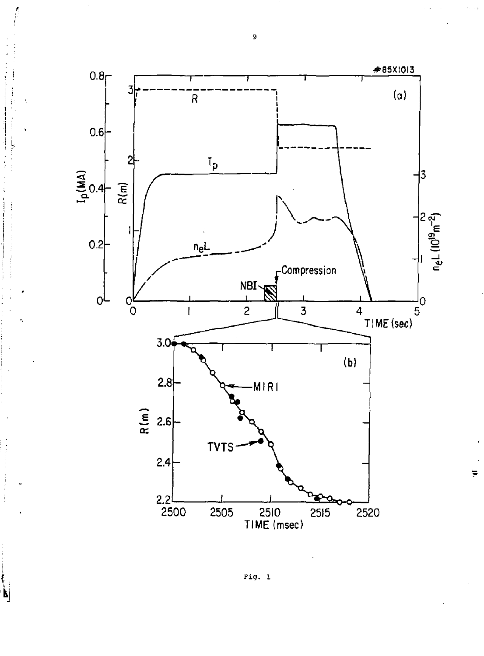

**Fig. 1** 

**9** 

*r*  1

Ŋ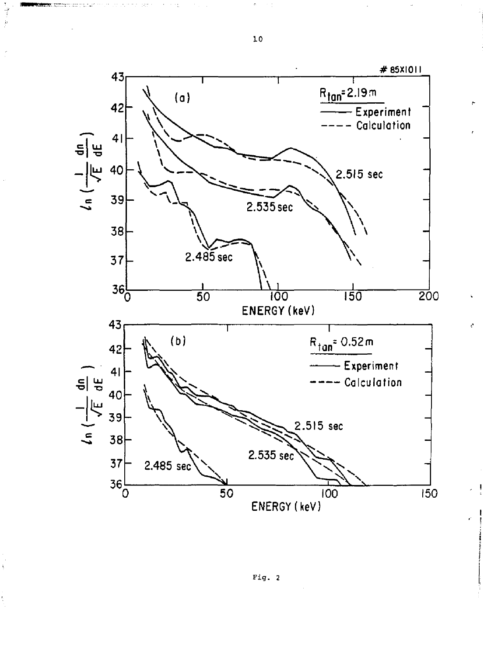

Å

Fig. 2

**3.0** 

受到

ķ

ś,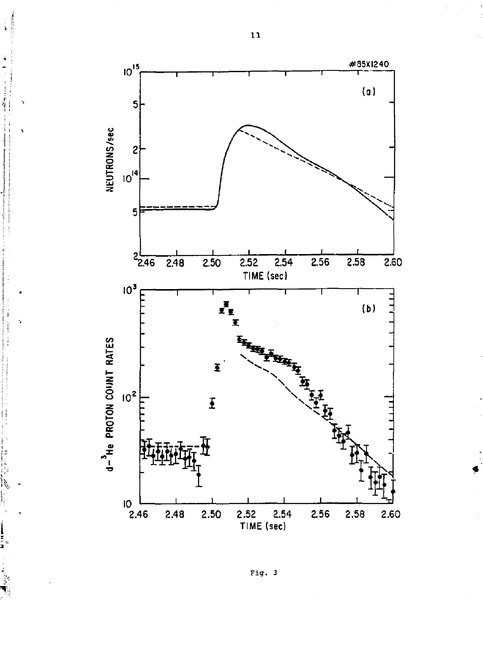

Fig. 3

 $\mathbf{1}\mathbf{1}% =\mathbf{1}+\mathbf{1}+\mathbf{1}+\mathbf{1}+\mathbf{1}+\mathbf{1}+\mathbf{1}+\mathbf{1}+\mathbf{1}+\mathbf{1}+\mathbf{1}+\mathbf{1}+\mathbf{1}+\mathbf{1}+\mathbf{1}+\mathbf{1}+\mathbf{1}+\mathbf{1}+\mathbf{1}+\mathbf{1}+\mathbf{1}+\mathbf{1}+\mathbf{1}+\mathbf{1}+\mathbf{1}+\mathbf{1}+\mathbf{1}+\mathbf{1}+\mathbf{1}+\mathbf{1}+\mathbf{1}+\mathbf{1}+\mathbf{1}+\mathbf{1}+\mathbf{$ 

j,

Ĩ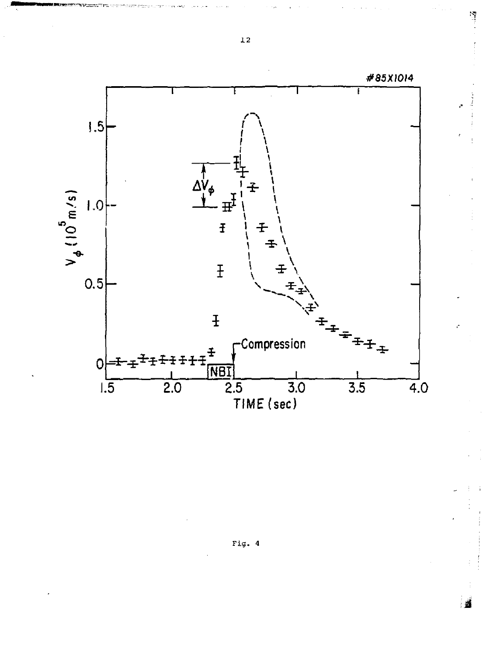

 $\mathbf{L2}$ 

 $\tilde{\gamma}$